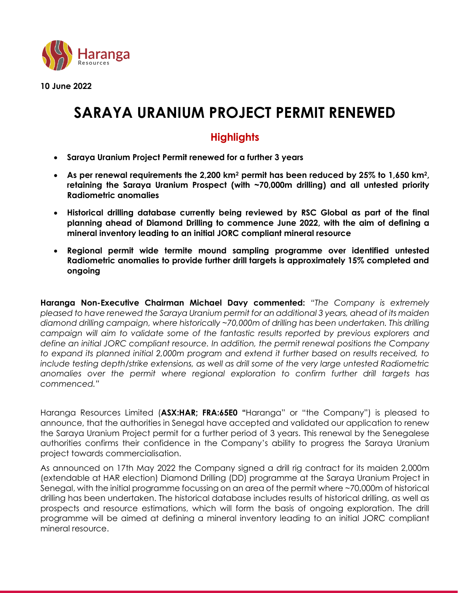

**10 June 2022**

# **SARAYA URANIUM PROJECT PERMIT RENEWED**

# **Highlights**

- **Saraya Uranium Project Permit renewed for a further 3 years**
- **As per renewal requirements the 2,200 km<sup>2</sup> permit has been reduced by 25% to 1,650 km<sup>2</sup> , retaining the Saraya Uranium Prospect (with ~70,000m drilling) and all untested priority Radiometric anomalies**
- **Historical drilling database currently being reviewed by RSC Global as part of the final planning ahead of Diamond Drilling to commence June 2022, with the aim of defining a mineral inventory leading to an initial JORC compliant mineral resource**
- **Regional permit wide termite mound sampling programme over identified untested Radiometric anomalies to provide further drill targets is approximately 15% completed and ongoing**

**Haranga Non-Executive Chairman Michael Davy commented:** *"The Company is extremely pleased to have renewed the Saraya Uranium permit for an additional 3 years, ahead of its maiden diamond drilling campaign, where historically ~70,000m of drilling has been undertaken. This drilling campaign will aim to validate some of the fantastic results reported by previous explorers and define an initial JORC compliant resource. In addition, the permit renewal positions the Company to expand its planned initial 2,000m program and extend it further based on results received, to include testing depth/strike extensions, as well as drill some of the very large untested Radiometric anomalies over the permit where regional exploration to confirm further drill targets has commenced."*

Haranga Resources Limited (**ASX:HAR; FRA:65E0 "**Haranga" or "the Company") is pleased to announce, that the authorities in Senegal have accepted and validated our application to renew the Saraya Uranium Project permit for a further period of 3 years. This renewal by the Senegalese authorities confirms their confidence in the Company's ability to progress the Saraya Uranium project towards commercialisation.

As announced on 17th May 2022 the Company signed a drill rig contract for its maiden 2,000m (extendable at HAR election) Diamond Drilling (DD) programme at the Saraya Uranium Project in Senegal, with the initial programme focussing on an area of the permit where ~70,000m of historical drilling has been undertaken. The historical database includes results of historical drilling, as well as prospects and resource estimations, which will form the basis of ongoing exploration. The drill programme will be aimed at defining a mineral inventory leading to an initial JORC compliant mineral resource.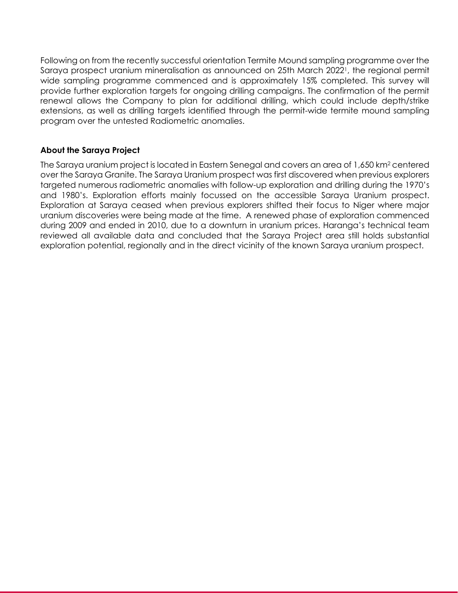Following on from the recently successful orientation Termite Mound sampling programme over the Saraya prospect uranium mineralisation as announced on 25th March 2022<sup>1</sup> , the regional permit wide sampling programme commenced and is approximately 15% completed. This survey will provide further exploration targets for ongoing drilling campaigns. The confirmation of the permit renewal allows the Company to plan for additional drilling, which could include depth/strike extensions, as well as drilling targets identified through the permit-wide termite mound sampling program over the untested Radiometric anomalies.

# **About the Saraya Project**

The Saraya uranium project is located in Eastern Senegal and covers an area of 1,650 km<sup>2</sup> centered over the Saraya Granite. The Saraya Uranium prospect was first discovered when previous explorers targeted numerous radiometric anomalies with follow-up exploration and drilling during the 1970's and 1980's. Exploration efforts mainly focussed on the accessible Saraya Uranium prospect. Exploration at Saraya ceased when previous explorers shifted their focus to Niger where major uranium discoveries were being made at the time. A renewed phase of exploration commenced during 2009 and ended in 2010, due to a downturn in uranium prices. Haranga's technical team reviewed all available data and concluded that the Saraya Project area still holds substantial exploration potential, regionally and in the direct vicinity of the known Saraya uranium prospect.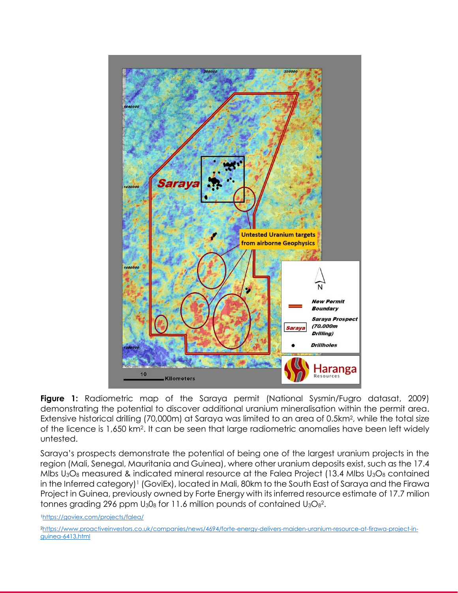

**Figure 1:** Radiometric map of the Saraya permit (National Sysmin/Fugro datasat, 2009) demonstrating the potential to discover additional uranium mineralisation within the permit area. Extensive historical drilling (70,000m) at Saraya was limited to an area of 0.5km<sup>2</sup> , while the total size of the licence is 1,650 km<sup>2</sup>. It can be seen that large radiometric anomalies have been left widely untested.

Saraya's prospects demonstrate the potential of being one of the largest uranium projects in the region (Mali, Senegal, Mauritania and Guinea), where other uranium deposits exist, such as the 17.4 Mlbs  $U_3O_8$  measured & indicated mineral resource at the Falea Project (13.4 Mlbs  $U_3O_8$  contained in the Inferred category)<sup>1</sup> (GoviEx), located in Mali, 80km to the South East of Saraya and the Firawa Project in Guinea, previously owned by Forte Energy with its inferred resource estimate of 17.7 milion tonnes grading 296 ppm  $U_3O_8$  for 11.6 million pounds of contained  $U_3O_8^2$ .

<sup>1</sup><https://goviex.com/projects/falea/>

<sup>2</sup>[https://www.proactiveinvestors.co.uk/companies/news/4694/forte-energy-delivers-maiden-uranium-resource-at-firawa-project-in](https://www.proactiveinvestors.co.uk/companies/news/4694/forte-energy-delivers-maiden-uranium-resource-at-firawa-project-in-guinea-6413.html)[guinea-6413.html](https://www.proactiveinvestors.co.uk/companies/news/4694/forte-energy-delivers-maiden-uranium-resource-at-firawa-project-in-guinea-6413.html)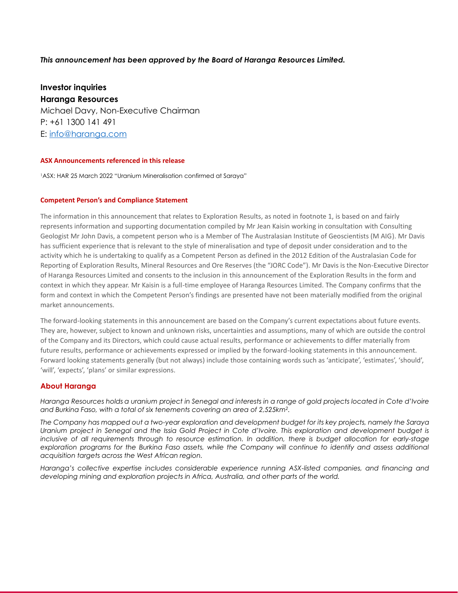#### *This announcement has been approved by the Board of Haranga Resources Limited.*

**Investor inquiries Haranga Resources** Michael Davy, Non-Executive Chairman P: +61 [1300 141 491](tel:1300%20141%20491) E: info@haranga.com

#### **ASX Announcements referenced in this release**

<sup>1</sup>ASX: HAR 25 March 2022 "Uranium Mineralisation confirmed at Saraya"

#### **Competent Person's and Compliance Statement**

The information in this announcement that relates to Exploration Results, as noted in footnote 1, is based on and fairly represents information and supporting documentation compiled by Mr Jean Kaisin working in consultation with Consulting Geologist Mr John Davis, a competent person who is a Member of The Australasian Institute of Geoscientists (M AIG). Mr Davis has sufficient experience that is relevant to the style of mineralisation and type of deposit under consideration and to the activity which he is undertaking to qualify as a Competent Person as defined in the 2012 Edition of the Australasian Code for Reporting of Exploration Results, Mineral Resources and Ore Reserves (the "JORC Code"). Mr Davis is the Non-Executive Director of Haranga Resources Limited and consents to the inclusion in this announcement of the Exploration Results in the form and context in which they appear. Mr Kaisin is a full-time employee of Haranga Resources Limited. The Company confirms that the form and context in which the Competent Person's findings are presented have not been materially modified from the original market announcements.

The forward-looking statements in this announcement are based on the Company's current expectations about future events. They are, however, subject to known and unknown risks, uncertainties and assumptions, many of which are outside the control of the Company and its Directors, which could cause actual results, performance or achievements to differ materially from future results, performance or achievements expressed or implied by the forward-looking statements in this announcement. Forward looking statements generally (but not always) include those containing words such as 'anticipate', 'estimates', 'should', 'will', 'expects', 'plans' or similar expressions.

#### **About Haranga**

*Haranga Resources holds a uranium project in Senegal and interests in a range of gold projects located in Cote d'Ivoire and Burkina Faso, with a total of six tenements covering an area of 2,525km<sup>2</sup> .*

*The Company has mapped out a two-year exploration and development budget for its key projects, namely the Saraya Uranium project in Senegal and the Issia Gold Project in Cote d'Ivoire. This exploration and development budget is inclusive of all requirements through to resource estimation. In addition, there is budget allocation for early-stage exploration programs for the Burkina Faso assets, while the Company will continue to identify and assess additional acquisition targets across the West African region.*

*Haranga's collective expertise includes considerable experience running ASX-listed companies, and financing and developing mining and exploration projects in Africa, Australia, and other parts of the world.*